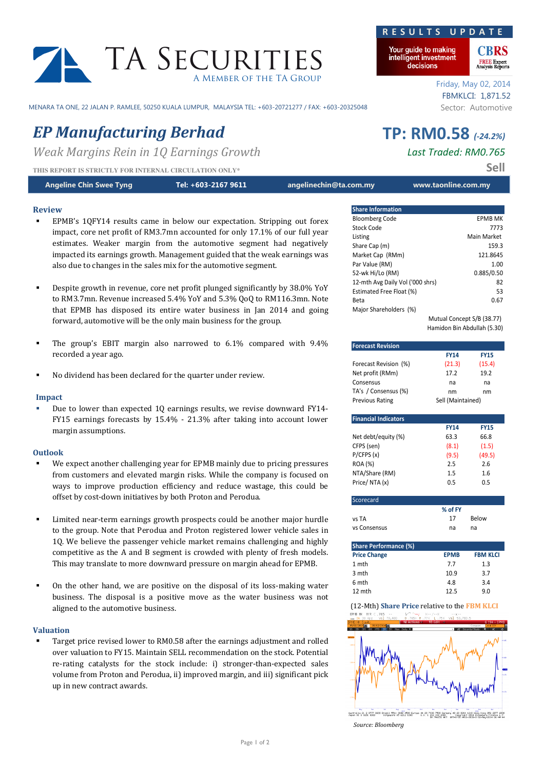# TA SECURITI A Member of the TA Group

MENARA TA ONE, 22 JALAN P. RAMLEE, 50250 KUALA LUMPUR, MALAYSIA TEL: +603-20721277 / FAX: +603-20325048 Sector: Automotive

# EP Manufacturing Berhad TP: RM0.58 (-24.2%)

Weak Margins Rein in 10 Earnings Growth Last Traded: RM0.765

THIS REPORT IS STRICTLY FOR INTERNAL CIRCULATION ONLY\* SELLER SERVICE AND **SELL** 

| <b>Angeline Chin Swee Tyng</b> | $\blacktriangle$ Tel: +603-2167 9611 $\blacktriangle$ | angelinechin@ta.com.my | www.taonline.com.my |
|--------------------------------|-------------------------------------------------------|------------------------|---------------------|
|                                |                                                       |                        |                     |

# Review

- EPMB's 1QFY14 results came in below our expectation. Stripping out forex impact, core net profit of RM3.7mn accounted for only 17.1% of our full year estimates. Weaker margin from the automotive segment had negatively impacted its earnings growth. Management guided that the weak earnings was also due to changes in the sales mix for the automotive segment.
- Despite growth in revenue, core net profit plunged significantly by 38.0% YoY to RM3.7mn. Revenue increased 5.4% YoY and 5.3% QoQ to RM116.3mn. Note that EPMB has disposed its entire water business in Jan 2014 and going forward, automotive will be the only main business for the group.
- The group's EBIT margin also narrowed to 6.1% compared with 9.4% recorded a year ago.
- No dividend has been declared for the quarter under review.

# Impact

 Due to lower than expected 1Q earnings results, we revise downward FY14- FY15 earnings forecasts by 15.4% - 21.3% after taking into account lower margin assumptions.

### Outlook

- We expect another challenging year for EPMB mainly due to pricing pressures from customers and elevated margin risks. While the company is focused on ways to improve production efficiency and reduce wastage, this could be offset by cost-down initiatives by both Proton and Perodua.
- Limited near-term earnings growth prospects could be another major hurdle to the group. Note that Perodua and Proton registered lower vehicle sales in 1Q. We believe the passenger vehicle market remains challenging and highly competitive as the A and B segment is crowded with plenty of fresh models. This may translate to more downward pressure on margin ahead for EPMB.
- On the other hand, we are positive on the disposal of its loss-making water business. The disposal is a positive move as the water business was not aligned to the automotive business.

### Valuation

 Target price revised lower to RM0.58 after the earnings adjustment and rolled over valuation to FY15. Maintain SELL recommendation on the stock. Potential re-rating catalysts for the stock include: i) stronger-than-expected sales volume from Proton and Perodua, ii) improved margin, and iii) significant pick up in new contract awards.

#### Your guide to making intelligent investment

R E S U L T S U P D A

decisions

Friday, May 02, 2014 FBMKLCI: 1,871.52

| <b>Share Information</b>         |                            |
|----------------------------------|----------------------------|
| <b>Bloomberg Code</b>            | EPMB MK                    |
| Stock Code                       | 7773                       |
| Listing                          | Main Market                |
| Share Cap (m)                    | 159.3                      |
| Market Cap (RMm)                 | 121.8645                   |
| Par Value (RM)                   | 1.00                       |
| 52-wk Hi/Lo (RM)                 | 0.885/0.50                 |
| 12-mth Avg Daily Vol ('000 shrs) | 82                         |
| Estimated Free Float (%)         | 53                         |
| Beta                             | 0.67                       |
| Major Shareholders (%)           |                            |
|                                  | Mutual Concept S/B (38.77) |

Hamidon Bin Abdullah (5.30)

| <b>Forecast Revision</b>                                    |                   |                 |  |  |  |  |
|-------------------------------------------------------------|-------------------|-----------------|--|--|--|--|
|                                                             | <b>FY14</b>       | <b>FY15</b>     |  |  |  |  |
| Forecast Revision (%)                                       | (21.3)            | (15.4)          |  |  |  |  |
| Net profit (RMm)                                            | 17.2              | 19.2            |  |  |  |  |
| Consensus                                                   | na                | na              |  |  |  |  |
| TA's / Consensus (%)                                        | nm                | nm              |  |  |  |  |
| <b>Previous Rating</b>                                      | Sell (Maintained) |                 |  |  |  |  |
| <b>Financial Indicators</b>                                 |                   |                 |  |  |  |  |
|                                                             | <b>FY14</b>       | <b>FY15</b>     |  |  |  |  |
| Net debt/equity (%)                                         | 63.3              | 66.8            |  |  |  |  |
| CFPS (sen)                                                  | (8.1)             | (1.5)           |  |  |  |  |
| P/CFPS(x)                                                   | (9.5)             | (49.5)          |  |  |  |  |
| <b>ROA (%)</b>                                              | 2.5               | 2.6             |  |  |  |  |
| NTA/Share (RM)                                              | 1.5               | 1.6             |  |  |  |  |
| Price/NTA(x)                                                | 0.5               | 0.5             |  |  |  |  |
|                                                             |                   |                 |  |  |  |  |
| Scorecard                                                   |                   |                 |  |  |  |  |
|                                                             | % of FY           |                 |  |  |  |  |
| vs TA                                                       | 17                | Below           |  |  |  |  |
| vs Consensus                                                | na                | na              |  |  |  |  |
| <b>Share Performance (%)</b>                                |                   |                 |  |  |  |  |
| <b>Price Change</b>                                         | <b>EPMB</b>       | <b>FBM KLCI</b> |  |  |  |  |
| 1 mth                                                       | 7.7               | 1.3             |  |  |  |  |
| 3 mth                                                       | 10.9              | 3.7             |  |  |  |  |
| 6 mth                                                       | 4.8               | 3.4             |  |  |  |  |
| 12 mth                                                      | 12.5              | 9.0             |  |  |  |  |
| (12-Mth) Share Price relative to the FBM KLCI               |                   |                 |  |  |  |  |
| EPMB HK MYR C.765<br>$Vol$ 70.400<br>Val 53,783.5<br>30 Apr |                   |                 |  |  |  |  |
| <b>MK Equit</b>                                             |                   | Compare         |  |  |  |  |
|                                                             |                   | curity/Study    |  |  |  |  |



e 44 20 7300 2000 Germany 49 69 3204 1210 Hong Kong 852 2977 6000<br>U.S. 1 212 318 2000 - Copyright 2014 Bloomberg Finance L.P.<br>Hot 8N 746151 HKT 6RT48-00 H431-3039-0 02-Hay-2014 86-44-44 Source: Bloomberg